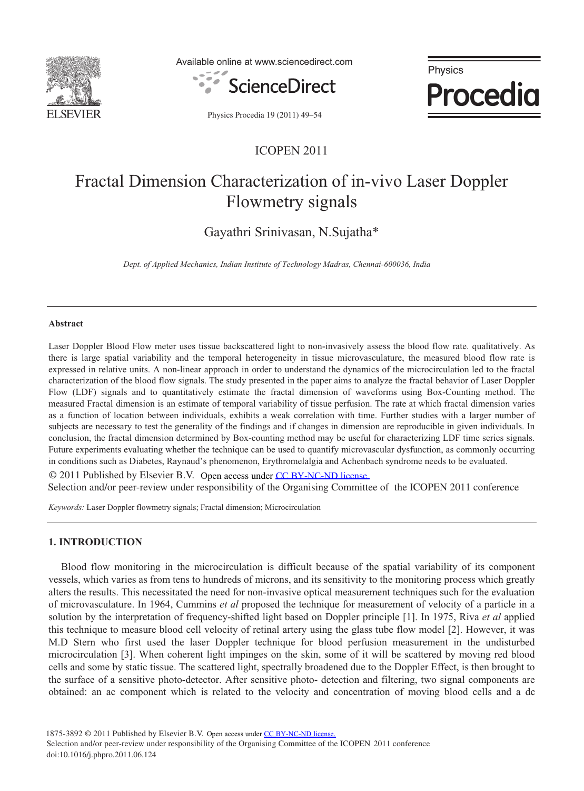

Available online at www.sciencedirect.com



Physics Procedia

Physics Procedia 19 (2011) 49–54

## ICOPEN 2011

# Fractal Dimension Characterization of in-vivo Laser Doppler Flowmetry signals

Gayathri Srinivasan, N.Sujatha\*

*Dept. of Applied Mechanics, Indian Institute of Technology Madras, Chennai-600036, India* 

#### **Abstract**

Laser Doppler Blood Flow meter uses tissue backscattered light to non-invasively assess the blood flow rate. qualitatively. As there is large spatial variability and the temporal heterogeneity in tissue microvasculature, the measured blood flow rate is expressed in relative units. A non-linear approach in order to understand the dynamics of the microcirculation led to the fractal characterization of the blood flow signals. The study presented in the paper aims to analyze the fractal behavior of Laser Doppler Flow (LDF) signals and to quantitatively estimate the fractal dimension of waveforms using Box-Counting method. The measured Fractal dimension is an estimate of temporal variability of tissue perfusion. The rate at which fractal dimension varies as a function of location between individuals, exhibits a weak correlation with time. Further studies with a larger number of subjects are necessary to test the generality of the findings and if changes in dimension are reproducible in given individuals. In conclusion, the fractal dimension determined by Box-counting method may be useful for characterizing LDF time series signals. Future experiments evaluating whether the technique can be used to quantify microvascular dysfunction, as commonly occurring in conditions such as Diabetes, Raynaud's phenomenon, Erythromelalgia and Achenbach syndrome needs to be evaluated.

© 2011 Published by Elsevier B.V. Open access under [CC BY-NC-ND license.](http://creativecommons.org/licenses/by-nc-nd/3.0/) Selection and/or peer-review under responsibility of the Organising Committee of the ICOPEN 2011 conference

*Keywords:* Laser Doppler flowmetry signals; Fractal dimension; Microcirculation

#### **1. INTRODUCTION**

Blood flow monitoring in the microcirculation is difficult because of the spatial variability of its component vessels, which varies as from tens to hundreds of microns, and its sensitivity to the monitoring process which greatly alters the results. This necessitated the need for non-invasive optical measurement techniques such for the evaluation of microvasculature. In 1964, Cummins *et al* proposed the technique for measurement of velocity of a particle in a solution by the interpretation of frequency-shifted light based on Doppler principle [1]. In 1975, Riva *et al* applied this technique to measure blood cell velocity of retinal artery using the glass tube flow model [2]. However, it was M.D Stern who first used the laser Doppler technique for blood perfusion measurement in the undisturbed microcirculation [3]. When coherent light impinges on the skin, some of it will be scattered by moving red blood cells and some by static tissue. The scattered light, spectrally broadened due to the Doppler Effect, is then brought to the surface of a sensitive photo-detector. After sensitive photo- detection and filtering, two signal components are obtained: an ac component which is related to the velocity and concentration of moving blood cells and a dc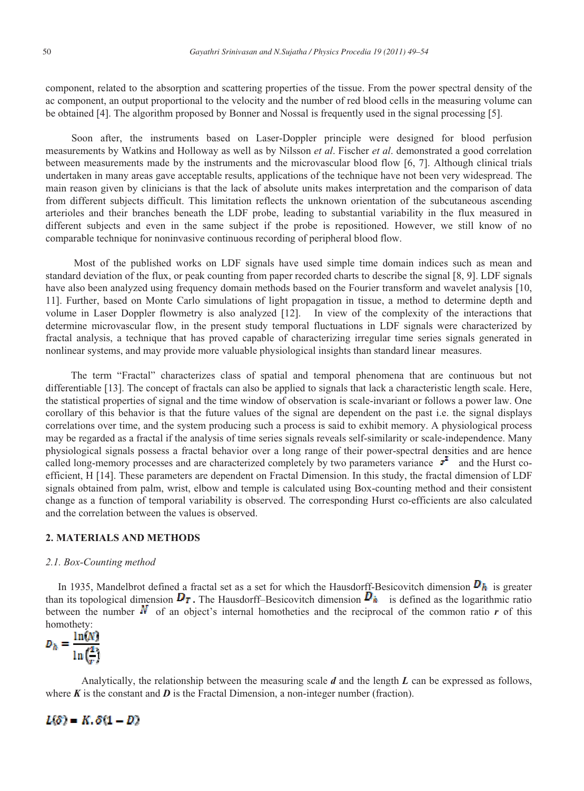component, related to the absorption and scattering properties of the tissue. From the power spectral density of the ac component, an output proportional to the velocity and the number of red blood cells in the measuring volume can be obtained [4]. The algorithm proposed by Bonner and Nossal is frequently used in the signal processing [5].

 Soon after, the instruments based on Laser-Doppler principle were designed for blood perfusion measurements by Watkins and Holloway as well as by Nilsson *et al*. Fischer *et al*. demonstrated a good correlation between measurements made by the instruments and the microvascular blood flow [6, 7]. Although clinical trials undertaken in many areas gave acceptable results, applications of the technique have not been very widespread. The main reason given by clinicians is that the lack of absolute units makes interpretation and the comparison of data from different subjects difficult. This limitation reflects the unknown orientation of the subcutaneous ascending arterioles and their branches beneath the LDF probe, leading to substantial variability in the flux measured in different subjects and even in the same subject if the probe is repositioned. However, we still know of no comparable technique for noninvasive continuous recording of peripheral blood flow.

 Most of the published works on LDF signals have used simple time domain indices such as mean and standard deviation of the flux, or peak counting from paper recorded charts to describe the signal [8, 9]. LDF signals have also been analyzed using frequency domain methods based on the Fourier transform and wavelet analysis [10, 11]. Further, based on Monte Carlo simulations of light propagation in tissue, a method to determine depth and volume in Laser Doppler flowmetry is also analyzed [12]. In view of the complexity of the interactions that determine microvascular flow, in the present study temporal fluctuations in LDF signals were characterized by fractal analysis, a technique that has proved capable of characterizing irregular time series signals generated in nonlinear systems, and may provide more valuable physiological insights than standard linear measures.

 The term "Fractal" characterizes class of spatial and temporal phenomena that are continuous but not differentiable [13]. The concept of fractals can also be applied to signals that lack a characteristic length scale. Here, the statistical properties of signal and the time window of observation is scale-invariant or follows a power law. One corollary of this behavior is that the future values of the signal are dependent on the past i.e. the signal displays correlations over time, and the system producing such a process is said to exhibit memory. A physiological process may be regarded as a fractal if the analysis of time series signals reveals self-similarity or scale-independence. Many physiological signals possess a fractal behavior over a long range of their power-spectral densities and are hence called long-memory processes and are characterized completely by two parameters variance  $\sigma^z$  and the Hurst coefficient, H [14]. These parameters are dependent on Fractal Dimension. In this study, the fractal dimension of LDF signals obtained from palm, wrist, elbow and temple is calculated using Box-counting method and their consistent change as a function of temporal variability is observed. The corresponding Hurst co-efficients are also calculated and the correlation between the values is observed.

#### **2. MATERIALS AND METHODS**

#### *2.1. Box-Counting method*

In 1935, Mandelbrot defined a fractal set as a set for which the Hausdorff-Besicovitch dimension  $\mathbf{D}_h$  is greater than its topological dimension  $\mathbf{D}_T$ . The Hausdorff–Besicovitch dimension  $\mathbf{D}_h$  is defined as the logarithmic ratio between the number  $\vec{N}$  of an object's internal homotheties and the reciprocal of the common ratio  $\vec{r}$  of this homothety:

$$
D_h = \frac{\ln(N)}{\ln\left(\frac{1}{r}\right)}
$$

 Analytically, the relationship between the measuring scale *d* and the length *L* can be expressed as follows, where  $K$  is the constant and  $D$  is the Fractal Dimension, a non-integer number (fraction).

 $L(\delta) = K, \delta(1-D)$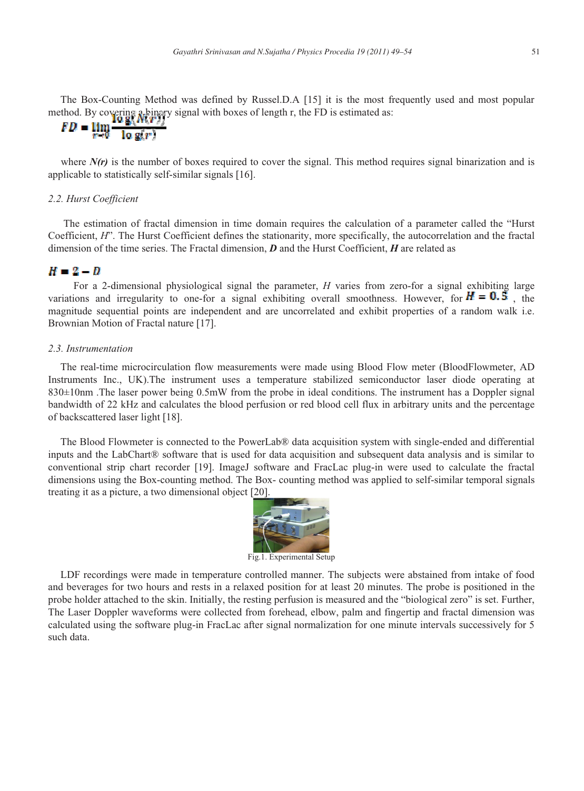The Box-Counting Method was defined by Russel.D.A [15] it is the most frequently used and most popular method. By covering a binary signal with boxes of length r, the FD is estimated as:



where  $N(r)$  is the number of boxes required to cover the signal. This method requires signal binarization and is applicable to statistically self-similar signals [16].

#### *2.2. Hurst Coefficient*

 The estimation of fractal dimension in time domain requires the calculation of a parameter called the "Hurst Coefficient, *H*". The Hurst Coefficient defines the stationarity, more specifically, the autocorrelation and the fractal dimension of the time series. The Fractal dimension, *D* and the Hurst Coefficient, *H* are related as

### $H = 2 - D$

 For a 2-dimensional physiological signal the parameter, *H* varies from zero-for a signal exhibiting large variations and irregularity to one-for a signal exhibiting overall smoothness. However, for  $\mathbf{M} = \mathbf{0.5}$ , the magnitude sequential points are independent and are uncorrelated and exhibit properties of a random walk i.e. Brownian Motion of Fractal nature [17].

#### *2.3. Instrumentation*

The real-time microcirculation flow measurements were made using Blood Flow meter (BloodFlowmeter, AD Instruments Inc., UK).The instrument uses a temperature stabilized semiconductor laser diode operating at 830±10nm .The laser power being 0.5mW from the probe in ideal conditions. The instrument has a Doppler signal bandwidth of 22 kHz and calculates the blood perfusion or red blood cell flux in arbitrary units and the percentage of backscattered laser light [18].

The Blood Flowmeter is connected to the PowerLab® data acquisition system with single-ended and differential inputs and the LabChart® software that is used for data acquisition and subsequent data analysis and is similar to conventional strip chart recorder [19]. ImageJ software and FracLac plug-in were used to calculate the fractal dimensions using the Box-counting method. The Box- counting method was applied to self-similar temporal signals treating it as a picture, a two dimensional object [20].



LDF recordings were made in temperature controlled manner. The subjects were abstained from intake of food and beverages for two hours and rests in a relaxed position for at least 20 minutes. The probe is positioned in the probe holder attached to the skin. Initially, the resting perfusion is measured and the "biological zero" is set. Further, The Laser Doppler waveforms were collected from forehead, elbow, palm and fingertip and fractal dimension was calculated using the software plug-in FracLac after signal normalization for one minute intervals successively for 5 such data.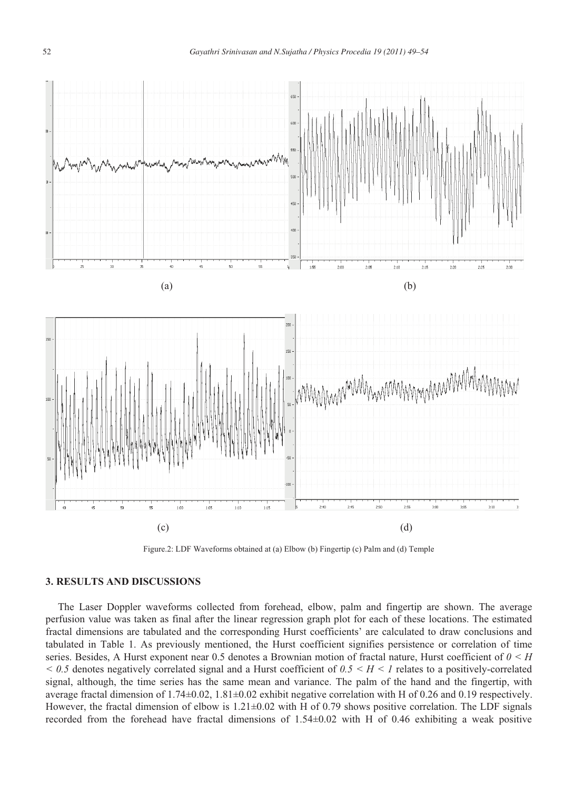

Figure.2: LDF Waveforms obtained at (a) Elbow (b) Fingertip (c) Palm and (d) Temple

#### **3. RESULTS AND DISCUSSIONS**

The Laser Doppler waveforms collected from forehead, elbow, palm and fingertip are shown. The average perfusion value was taken as final after the linear regression graph plot for each of these locations. The estimated fractal dimensions are tabulated and the corresponding Hurst coefficients' are calculated to draw conclusions and tabulated in Table 1. As previously mentioned, the Hurst coefficient signifies persistence or correlation of time series. Besides, A Hurst exponent near 0.5 denotes a Brownian motion of fractal nature, Hurst coefficient of *0 < H < 0.5* denotes negatively correlated signal and a Hurst coefficient of *0.5 < H < 1* relates to a positively-correlated signal, although, the time series has the same mean and variance. The palm of the hand and the fingertip, with average fractal dimension of 1.74±0.02, 1.81±0.02 exhibit negative correlation with H of 0.26 and 0.19 respectively. However, the fractal dimension of elbow is  $1.21 \pm 0.02$  with H of 0.79 shows positive correlation. The LDF signals recorded from the forehead have fractal dimensions of 1.54±0.02 with H of 0.46 exhibiting a weak positive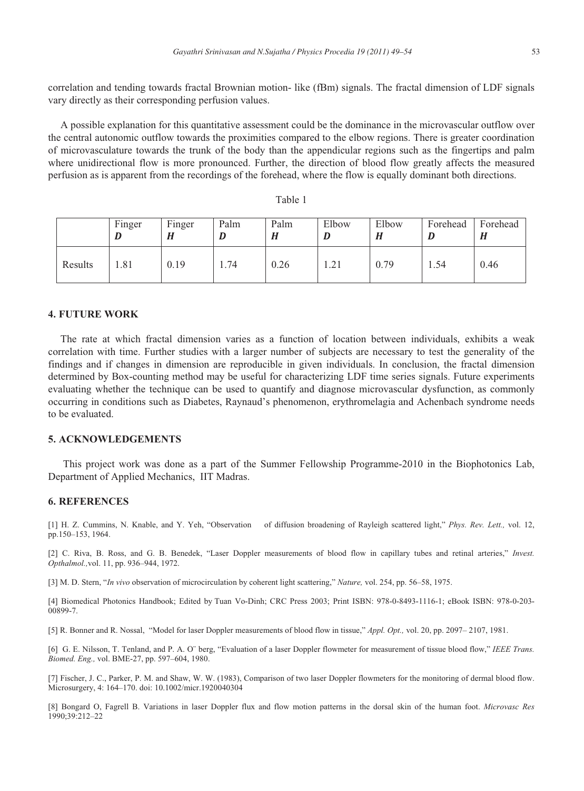correlation and tending towards fractal Brownian motion- like (fBm) signals. The fractal dimension of LDF signals vary directly as their corresponding perfusion values.

A possible explanation for this quantitative assessment could be the dominance in the microvascular outflow over the central autonomic outflow towards the proximities compared to the elbow regions. There is greater coordination of microvasculature towards the trunk of the body than the appendicular regions such as the fingertips and palm where unidirectional flow is more pronounced. Further, the direction of blood flow greatly affects the measured perfusion as is apparent from the recordings of the forehead, where the flow is equally dominant both directions.

|         | Finger | Finger<br>H | Palm<br>D | Palm<br>$\boldsymbol{H}$ | Elbow<br>D | Elbow<br>H | Forehead | Forehead<br>H |
|---------|--------|-------------|-----------|--------------------------|------------|------------|----------|---------------|
| Results | 1.81   | 0.19        | 1.74      | 0.26                     | .21        | 0.79       | 1.54     | 0.46          |

#### **4. FUTURE WORK**

The rate at which fractal dimension varies as a function of location between individuals, exhibits a weak correlation with time. Further studies with a larger number of subjects are necessary to test the generality of the findings and if changes in dimension are reproducible in given individuals. In conclusion, the fractal dimension determined by Box-counting method may be useful for characterizing LDF time series signals. Future experiments evaluating whether the technique can be used to quantify and diagnose microvascular dysfunction, as commonly occurring in conditions such as Diabetes, Raynaud's phenomenon, erythromelagia and Achenbach syndrome needs to be evaluated.

#### **5. ACKNOWLEDGEMENTS**

 This project work was done as a part of the Summer Fellowship Programme-2010 in the Biophotonics Lab, Department of Applied Mechanics, IIT Madras.

#### **6. REFERENCES**

[1] H. Z. Cummins, N. Knable, and Y. Yeh, "Observation of diffusion broadening of Rayleigh scattered light," *Phys. Rev. Lett.,* vol. 12, pp.150–153, 1964.

[2] C. Riva, B. Ross, and G. B. Benedek, "Laser Doppler measurements of blood flow in capillary tubes and retinal arteries," *Invest. Opthalmol.,*vol. 11, pp. 936–944, 1972.

[3] M. D. Stern, "*In vivo* observation of microcirculation by coherent light scattering," *Nature,* vol. 254, pp. 56–58, 1975.

[4] Biomedical Photonics Handbook; Edited by Tuan Vo-Dinh; CRC Press 2003; Print ISBN: 978-0-8493-1116-1; eBook ISBN: 978-0-203- 00899-7.

[5] R. Bonner and R. Nossal, "Model for laser Doppler measurements of blood flow in tissue," *Appl. Opt.,* vol. 20, pp. 2097– 2107, 1981.

[6] G. E. Nilsson, T. Tenland, and P. A. O¨ berg, "Evaluation of a laser Doppler flowmeter for measurement of tissue blood flow," *IEEE Trans. Biomed. Eng.,* vol. BME-27, pp. 597–604, 1980.

[7] Fischer, J. C., Parker, P. M. and Shaw, W. W. (1983), Comparison of two laser Doppler flowmeters for the monitoring of dermal blood flow. Microsurgery, 4: 164–170. doi: 10.1002/micr.1920040304

[8] Bongard O, Fagrell B. Variations in laser Doppler flux and flow motion patterns in the dorsal skin of the human foot. *Microvasc Res* 1990;39:212–22

#### Table 1